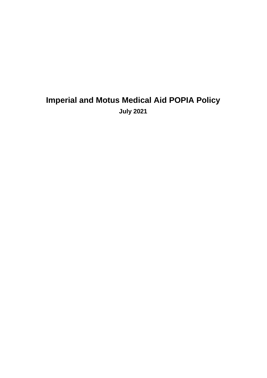# **Imperial and Motus Medical Aid POPIA Policy July 2021**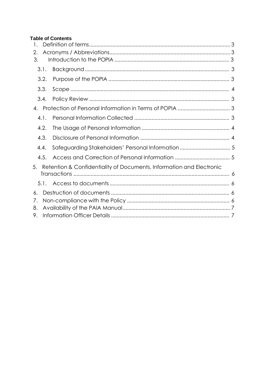# **Table of Contents**

| 2.                   |                                                                      |  |
|----------------------|----------------------------------------------------------------------|--|
| 3.                   |                                                                      |  |
| 3.1.                 |                                                                      |  |
| 3.2.                 |                                                                      |  |
| 3.3.                 |                                                                      |  |
| 3.4.                 |                                                                      |  |
| 4.                   |                                                                      |  |
| 4.1.                 |                                                                      |  |
| 4.2.                 |                                                                      |  |
| 4.3.                 |                                                                      |  |
| 4.4.                 | Safeguarding Stakeholders' Personal Information  5                   |  |
| 4.5.                 |                                                                      |  |
| 5.                   | Retention & Confidentiality of Documents, Information and Electronic |  |
| 5.1.                 |                                                                      |  |
| 6.<br>7.<br>8.<br>9. |                                                                      |  |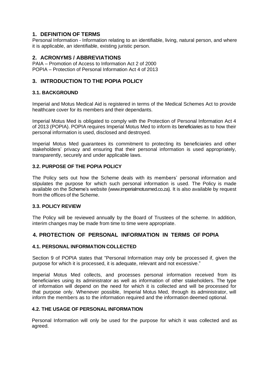# **1. DEFINITION OF TERMS**

Personal Information - Information relating to an identifiable, living, natural person, and where it is applicable, an identifiable, existing juristic person.

## **2. ACRONYMS / ABBREVIATIONS**

PAIA – Promotion of Access to Information Act 2 of 2000 POPIA – Protection of Personal Information Act 4 of 2013

# **3. INTRODUCTION TO THE POPIA POLICY**

#### **3.1. BACKGROUND**

Imperial and Motus Medical Aid is registered in terms of the Medical Schemes Act to provide healthcare cover for its members and their dependants.

Imperial Motus Med is obligated to comply with the Protection of Personal Information Act 4 of 2013 (POPIA). POPIA requires Imperial Motus Med to inform its beneficiaries as to how their personal information is used, disclosed and destroyed.

Imperial Motus Med guarantees its commitment to protecting its beneficiaries and other stakeholders' privacy and ensuring that their personal information is used appropriately, transparently, securely and under applicable laws.

## **3.2. PURPOSE OF THE POPIA POLICY**

The Policy sets out how the Scheme deals with its members' personal information and stipulates the purpose for which such personal information is used. The Policy is made available on the Scheme's website (www.imperialmotusmed.co.za). It is also available by request from the offices of the Scheme.

## **3.3. POLICY REVIEW**

The Policy will be reviewed annually by the Board of Trustees of the scheme. In addition, interim changes may be made from time to time were appropriate.

## **4. PROTECTION OF PERSONAL INFORMATION IN TERMS OF POPIA**

## **4.1. PERSONAL INFORMATION COLLECTED**

Section 9 of POPIA states that "Personal Information may only be processed if, given the purpose for which it is processed, it is adequate, relevant and not excessive."

Imperial Motus Med collects, and processes personal information received from its beneficiaries using its administrator as well as information of other stakeholders. The type of information will depend on the need for which it is collected and will be processed for that purpose only. Whenever possible, Imperial Motus Med, through its administrator, will inform the members as to the information required and the information deemed optional.

#### **4.2. THE USAGE OF PERSONAL INFORMATION**

Personal Information will only be used for the purpose for which it was collected and as agreed.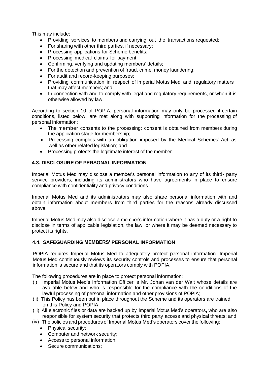This may include:

- Providing services to members and carrying out the transactions requested;
- For sharing with other third parties, if necessary;
- Processing applications for Scheme benefits;
- Processing medical claims for payment;
- Confirming, verifying and updating members' details;
- For the detection and prevention of fraud, crime, money laundering;
- For audit and record-keeping purposes;
- Providing communication in respect of Imperial Motus Med and regulatory matters that may affect members; and
- In connection with and to comply with legal and regulatory requirements, or when it is otherwise allowed by law.

According to section 10 of POPIA, personal information may only be processed if certain conditions, listed below, are met along with supporting information for the processing of personal information:

- The member consents to the processing: consent is obtained from members during the application stage for membership;
- Processing complies with an obligation imposed by the Medical Schemes' Act, as well as other related legislation; and
- Processing protects the legitimate interest of the member.

## **4.3. DISCLOSURE OF PERSONAL INFORMATION**

Imperial Motus Med may disclose a member's personal information to any of its third- party service providers, including its administrators who have agreements in place to ensure compliance with confidentiality and privacy conditions.

Imperial Motus Med and its administrators may also share personal information with and obtain information about members from third parties for the reasons already discussed above.

Imperial Motus Med may also disclose a member's information where it has a duty or a right to disclose in terms of applicable legislation, the law, or where it may be deemed necessary to protect its rights.

## **4.4. SAFEGUARDING MEMBERS' PERSONAL INFORMATION**

POPIA requires Imperial Motus Med to adequately protect personal information. Imperial Motus Med continuously reviews its security controls and processes to ensure that personal information is secure and that its operators comply with POPIA.

The following procedures are in place to protect personal information:

- (i) Imperial Motus Med's Information Officer is Mr. Johan van der Walt whose details are available below and who is responsible for the compliance with the conditions of the lawful processing of personal information and other provisions of POPIA;
- (ii) This Policy has been put in place throughout the Scheme and its operators are trained on this Policy and POPIA;
- (iii) All electronic files or data are backed up by Imperial Motus Med's operators**,** who are also responsible for system security that protects third party access and physical threats; and
- (iv) The policies and procedures of Imperial Motus Med's operators cover the following:
	- Physical security;
	- Computer and network security;
	- Access to personal information;
	- Secure communications;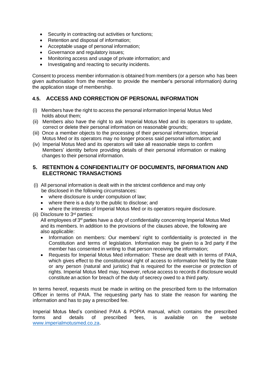- Security in contracting out activities or functions;
- Retention and disposal of information;
- Acceptable usage of personal information;
- Governance and regulatory issues;
- Monitoring access and usage of private information; and
- Investigating and reacting to security incidents.

Consent to process member information is obtained from members (or a person who has been given authorisation from the member to provide the member's personal information) during the application stage of membership.

# **4.5. ACCESS AND CORRECTION OF PERSONAL INFORMATION**

- (i) Members have the right to access the personal information Imperial Motus Med holds about them;
- (ii) Members also have the right to ask Imperial Motus Med and its operators to update, correct or delete their personal information on reasonable grounds;
- (iii) Once a member objects to the processing of their personal information, Imperial Motus Med or its operators may no longer process said personal information; and
- (iv) Imperial Motus Med and its operators will take all reasonable steps to confirm Members' identity before providing details of their personal information or making changes to their personal information.

## **5. RETENTION & CONFIDENTIALITY OF DOCUMENTS, INFORMATION AND ELECTRONIC TRANSACTIONS**

- (i) All personal information is dealt with in the strictest confidence and may only be disclosed in the following circumstances:
	- where disclosure is under compulsion of law;
	- where there is a duty to the public to disclose; and
	- where the interests of Imperial Motus Med or its operators require disclosure.
- (ii) Disclosure to 3rd parties:

All employees of  $3<sup>rd</sup>$  parties have a duty of confidentiality concerning Imperial Motus Med and its members. In addition to the provisions of the clauses above, the following are also applicable:

- Information on members: Our members' right to confidentiality is protected in the Constitution and terms of legislation. Information may be given to a 3rd party if the member has consented in writing to that person receiving the information;
- Requests for Imperial Motus Med information: These are dealt with in terms of PAIA, which gives effect to the constitutional right of access to information held by the State or any person (natural and juristic) that is required for the exercise or protection of rights. Imperial Motus Med may, however, refuse access to records if disclosure would constitute an action for breach of the duty of secrecy owed to a third party.

In terms hereof, requests must be made in writing on the prescribed form to the Information Officer in terms of PAIA. The requesting party has to state the reason for wanting the information and has to pay a prescribed fee.

Imperial Motus Med's combined PAIA & POPIA manual, which contains the prescribed forms and details of prescribed fees, is available on the website www.imperialmotusmed.co.za.